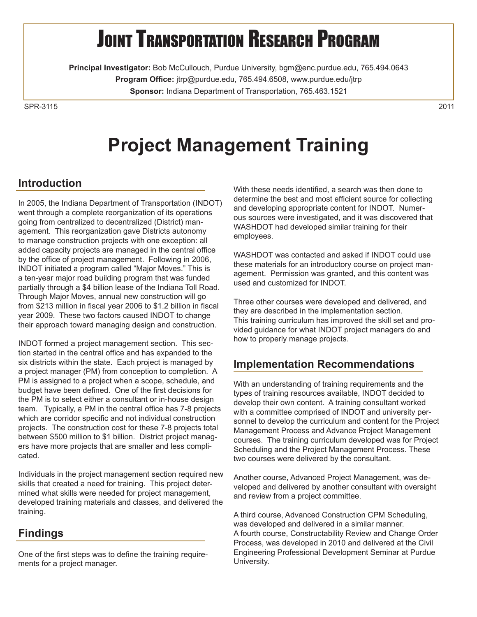# **JOINT TRANSPORTATION RESEARCH PROGRAM**

**Principal Investigator:** Bob McCullouch, Purdue University, bgm@enc.purdue.edu, 765.494.0643 **Program Office:** jtrp@purdue.edu, 765.494.6508, www.purdue.edu/jtrp **Sponsor:** Indiana Department of Transportation, 765.463.1521

SPR-31152011

# **Project Management Training**

## **Introduction**

In 2005, the Indiana Department of Transportation (INDOT) went through a complete reorganization of its operations going from centralized to decentralized (District) management. This reorganization gave Districts autonomy to manage construction projects with one exception: all added capacity projects are managed in the central office by the office of project management. Following in 2006, INDOT initiated a program called "Major Moves." This is a ten-year major road building program that was funded partially through a \$4 billion lease of the Indiana Toll Road. Through Major Moves, annual new construction will go from \$213 million in fiscal year 2006 to \$1.2 billion in fiscal year 2009. These two factors caused INDOT to change their approach toward managing design and construction.

INDOT formed a project management section. This section started in the central office and has expanded to the six districts within the state. Each project is managed by a project manager (PM) from conception to completion. A PM is assigned to a project when a scope, schedule, and budget have been defined. One of the first decisions for the PM is to select either a consultant or in-house design team. Typically, a PM in the central office has 7-8 projects which are corridor specific and not individual construction projects. The construction cost for these 7-8 projects total between \$500 million to \$1 billion. District project managers have more projects that are smaller and less complicated.

Individuals in the project management section required new skills that created a need for training. This project determined what skills were needed for project management, developed training materials and classes, and delivered the training.

# **Findings**

One of the first steps was to define the training requirements for a project manager.

With these needs identified, a search was then done to determine the best and most efficient source for collecting and developing appropriate content for INDOT. Numerous sources were investigated, and it was discovered that WASHDOT had developed similar training for their employees.

WASHDOT was contacted and asked if INDOT could use these materials for an introductory course on project management. Permission was granted, and this content was used and customized for INDOT.

Three other courses were developed and delivered, and they are described in the implementation section. This training curriculum has improved the skill set and provided guidance for what INDOT project managers do and how to properly manage projects.

#### **Implementation Recommendations**

With an understanding of training requirements and the types of training resources available, INDOT decided to develop their own content. A training consultant worked with a committee comprised of INDOT and university personnel to develop the curriculum and content for the Project Management Process and Advance Project Management courses. The training curriculum developed was for Project Scheduling and the Project Management Process. These two courses were delivered by the consultant.

Another course, Advanced Project Management, was developed and delivered by another consultant with oversight and review from a project committee.

A third course, Advanced Construction CPM Scheduling, was developed and delivered in a similar manner. A fourth course, Constructability Review and Change Order Process, was developed in 2010 and delivered at the Civil Engineering Professional Development Seminar at Purdue University.